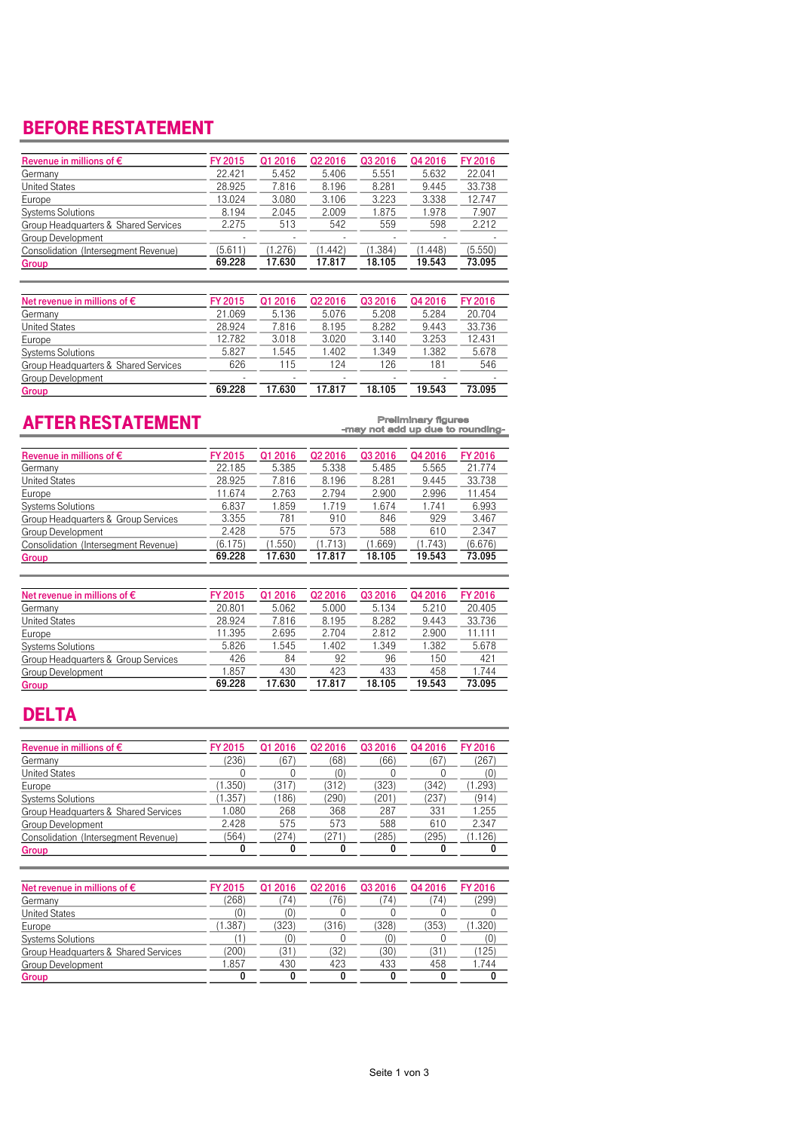### BEFORE RESTATEMENT

| Revenue in millions of $\epsilon$    | FY 2015 | Q1 2016 | Q <sub>2</sub> 2016 | Q3 2016 | Q4 2016 | FY 2016 |
|--------------------------------------|---------|---------|---------------------|---------|---------|---------|
| Germany                              | 22.421  | 5.452   | 5.406               | 5.551   | 5.632   | 22.041  |
| <b>United States</b>                 | 28.925  | 7.816   | 8.196               | 8.281   | 9.445   | 33.738  |
| Europe                               | 13.024  | 3.080   | 3.106               | 3.223   | 3.338   | 12.747  |
| <b>Systems Solutions</b>             | 8.194   | 2.045   | 2.009               | 1.875   | 1.978   | 7.907   |
| Group Headquarters & Shared Services | 2.275   | 513     | 542                 | 559     | 598     | 2.212   |
| Group Development                    |         |         |                     |         |         |         |
| Consolidation (Intersegment Revenue) | (5.611) | (1.276) | 1.442               | (1.384) | (1.448) | (5.550) |
| Group                                | 69.228  | 17.630  | 17.817              | 18.105  | 19.543  | 73.095  |

| Net revenue in millions of $\epsilon$ | FY 2015 | Q1 2016 | Q <sub>2</sub> 2016 | Q3 2016 | Q4 2016 | FY 2016 |
|---------------------------------------|---------|---------|---------------------|---------|---------|---------|
| Germany                               | 21.069  | 5.136   | 5.076               | 5.208   | 5.284   | 20.704  |
| <b>United States</b>                  | 28.924  | 7.816   | 8.195               | 8.282   | 9.443   | 33.736  |
| Europe                                | 12.782  | 3.018   | 3.020               | 3.140   | 3.253   | 12.431  |
| Systems Solutions                     | 5.827   | 1.545   | .402                | 349. ا  | .382    | 5.678   |
| Group Headquarters & Shared Services  | 626     | 115     | 124                 | 126     | 181     | 546     |
| Group Development                     |         |         |                     |         |         |         |
| Group                                 | 69.228  | 17.630  | 17.817              | 18.105  | 19.543  | 73.095  |

# AFTER RESTATEMENT

Preliminary figures<br>-may not add up due to rounding-

| Revenue in millions of $\epsilon$    | FY 2015 | Q1 2016 | Q <sub>2</sub> 2016 | Q3 2016 | Q4 2016 | FY 2016 |
|--------------------------------------|---------|---------|---------------------|---------|---------|---------|
| Germany                              | 22.185  | 5.385   | 5.338               | 5.485   | 5.565   | 21.774  |
| <b>United States</b>                 | 28.925  | 7.816   | 8.196               | 8.281   | 9.445   | 33.738  |
| Europe                               | 11.674  | 2.763   | 2.794               | 2.900   | 2.996   | 11.454  |
| <b>Systems Solutions</b>             | 6.837   | 1.859   | 1.719               | 1.674   | 1.741   | 6.993   |
| Group Headquarters & Group Services  | 3.355   | 781     | 910                 | 846     | 929     | 3.467   |
| Group Development                    | 2.428   | 575     | 573                 | 588     | 610     | 2.347   |
| Consolidation (Intersegment Revenue) | (6.175) | (1.550) | 1.713               | (1.669) | (1.743) | (6.676) |
| Group                                | 69.228  | 17.630  | 17.817              | 18.105  | 19.543  | 73.095  |

| Net revenue in millions of $\epsilon$ | FY 2015 | Q1 2016 | Q <sub>2</sub> 2016 | Q3 2016 | Q4 2016 | FY 2016 |
|---------------------------------------|---------|---------|---------------------|---------|---------|---------|
| Germany                               | 20,801  | 5.062   | 5.000               | 5.134   | 5.210   | 20.405  |
| <b>United States</b>                  | 28.924  | 7.816   | 8.195               | 8.282   | 9.443   | 33.736  |
| Europe                                | 11.395  | 2.695   | 2.704               | 2.812   | 2.900   | 11.111  |
| <b>Systems Solutions</b>              | 5.826   | 1.545   | .402                | .349    | 1.382   | 5.678   |
| Group Headquarters & Group Services   | 426     | 84      | 92                  | 96      | 150     | 421     |
| Group Development                     | 1.857   | 430     | 423                 | 433     | 458     | 1.744   |
| Group                                 | 69.228  | 17.630  | 17.817              | 18.105  | 19.543  | 73.095  |

### DELTA

| Revenue in millions of $\epsilon$    | FY 2015 | Q1 2016 | Q <sub>2</sub> 2016 | Q3 2016 | Q4 2016 | FY 2016 |
|--------------------------------------|---------|---------|---------------------|---------|---------|---------|
| Germany                              | (236)   | (67     | (68)                | (66)    | (67)    | (267)   |
| <b>United States</b>                 |         |         | (0)                 |         |         | (0)     |
| Europe                               | (1.350) | (317)   | (312)               | (323)   | (342)   | (1.293) |
| <b>Systems Solutions</b>             | (1.357) | (186)   | (290)               | (201)   | (237)   | (914)   |
| Group Headquarters & Shared Services | 1.080   | 268     | 368                 | 287     | 331     | 1.255   |
| Group Development                    | 2.428   | 575     | 573                 | 588     | 610     | 2.347   |
| Consolidation (Intersegment Revenue) | (564)   | (274)   | (271)               | (285)   | (295)   | (1.126) |
| Group                                | 0       |         |                     |         |         |         |

| Net revenue in millions of $\epsilon$ | <b>FY 2015</b> | Q1 2016 | Q <sub>2</sub> 2016 | Q3 2016 | Q4 2016 | <b>FY 2016</b> |
|---------------------------------------|----------------|---------|---------------------|---------|---------|----------------|
| Germany                               | (268)          | 74)     | 76)                 | 74)     | 74)     | (299)          |
| <b>United States</b>                  | (0)            | 10      |                     |         |         |                |
| Europe                                | (1.387)        | (323)   | (316)               | (328)   | (353)   | (1.320)        |
| <b>Systems Solutions</b>              |                | (0)     |                     | (0)     |         | (0)            |
| Group Headquarters & Shared Services  | (200)          | (31     | '32)                | (30)    | (31)    | (125)          |
| Group Development                     | .857           | 430     | 423                 | 433     | 458     | .744           |
| Group                                 |                |         |                     |         |         |                |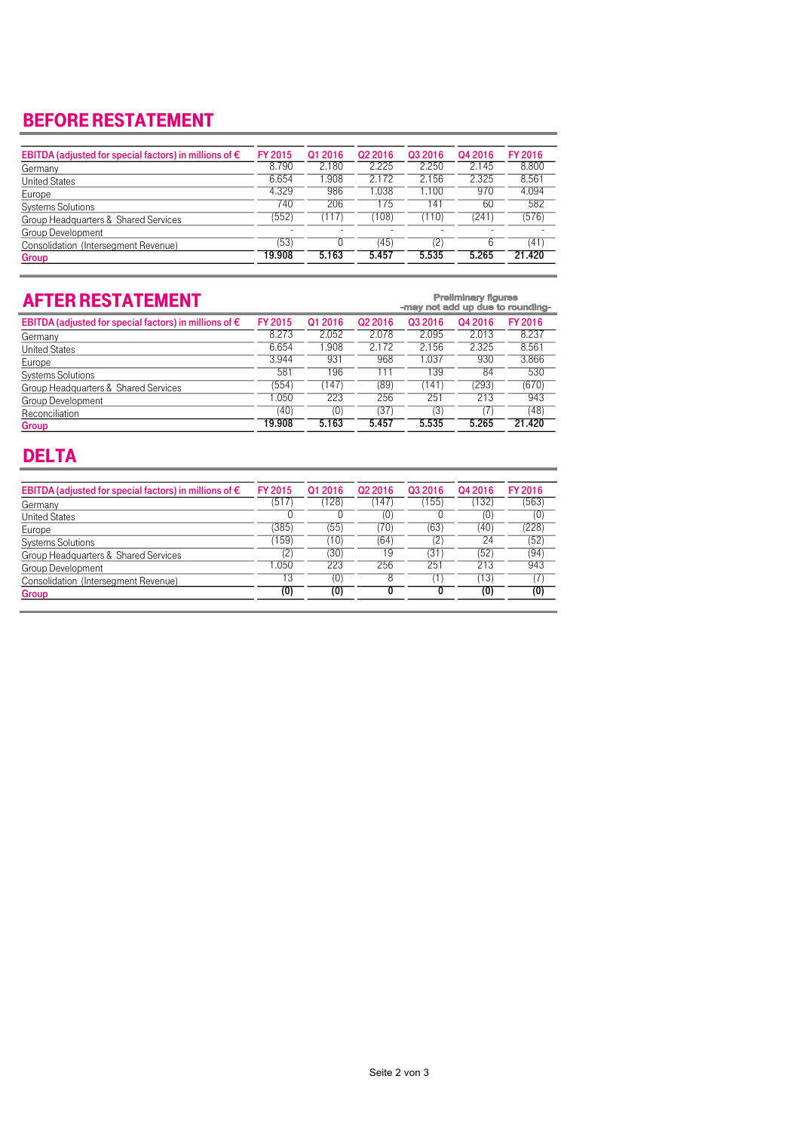## BEFORE RESTATEMENT

| EBITDA (adjusted for special factors) in millions of $\epsilon$ | <b>FY 2015</b> | Q1 2016 | Q <sub>2</sub> 2016 | Q3 2016 | Q4 2016 | FY 2016 |
|-----------------------------------------------------------------|----------------|---------|---------------------|---------|---------|---------|
| Germany                                                         | 8.790          | 2.180   | 2.225               | 2.250   | 2.145   | 8.800   |
| <b>United States</b>                                            | 6.654          | .908    | 2.172               | 2.156   | 2.325   | 8.561   |
| Europe                                                          | 4.329          | 986     | 1.038               | 1.100   | 970     | 4.094   |
| <b>Systems Solutions</b>                                        | 740            | 206     | 175                 | 141     | 60      | 582     |
| Group Headquarters & Shared Services                            | (552)          | (117)   | (108)               | (110)   | (241)   | (576)   |
| Group Development                                               |                |         |                     |         |         |         |
| Consolidation (Intersegment Revenue)                            | (53)           |         | (45)                | (2)     | 6       | (41)    |
| Group                                                           | 19.908         | 5.163   | 5.457               | 5.535   | 5.265   | 21.420  |
|                                                                 |                |         |                     |         |         |         |

| <b>AFTER RESTATEMENT</b>                                        |                | <b>Preliminary figures</b><br>-may not add up due to rounding- |                     |         |         |         |  |
|-----------------------------------------------------------------|----------------|----------------------------------------------------------------|---------------------|---------|---------|---------|--|
| EBITDA (adjusted for special factors) in millions of $\epsilon$ | <b>FY 2015</b> | Q1 2016                                                        | Q <sub>2</sub> 2016 | Q3 2016 | Q4 2016 | FY 2016 |  |
| Germany                                                         | 8.273          | 2.052                                                          | 2.078               | 2.095   | 2.013   | 8.237   |  |
| <b>United States</b>                                            | 6.654          | .908                                                           | 2.172               | 2.156   | 2.325   | 8.561   |  |
| Europe                                                          | 3.944          | 931                                                            | 968                 | 1.037   | 930     | 3.866   |  |
| <b>Systems Solutions</b>                                        | 581            | 196                                                            | l 11                | 139     | 84      | 530     |  |
| Group Headquarters & Shared Services                            | (554)          | (147)                                                          | (89                 | 141)    | (293)   | (670)   |  |
| Group Development                                               | 1.050          | 223                                                            | 256                 | 251     | 213     | 943     |  |
| Reconciliation                                                  | (40)           | (0)                                                            | (37)                | (3)     |         | (48)    |  |
| Group                                                           | 19.908         | 5.163                                                          | 5.457               | 5.535   | 5.265   | 21.420  |  |

### DELTA

| EBITDA (adjusted for special factors) in millions of $\epsilon$ | <b>FY 2015</b>  | Q1 2016 | Q <sub>2</sub> 2016 | Q3 2016 | Q4 2016 | FY 2016 |
|-----------------------------------------------------------------|-----------------|---------|---------------------|---------|---------|---------|
| Germany                                                         | (517            | 128     | 147                 | 155)    | 132)    | (563)   |
| <b>United States</b>                                            |                 |         | O)                  |         | (0)     | (0)     |
| Europe                                                          | (385)           | (55)    | (70)                | (63)    | (40)    | (228)   |
| <b>Systems Solutions</b>                                        | (159)           | (10)    | (64)                | (2)     | 24      | (52)    |
| Group Headquarters & Shared Services                            | 2               | (30)    | 19                  | (31)    | (52)    | (94)    |
| Group Development                                               | .050            | 223     | 256                 | 251     | 213     | 943     |
| Consolidation (Intersegment Revenue)                            | $1\overline{3}$ | (0)     | 8                   | Ί.      | 13)     | 17)     |
| Group                                                           | (0)             | (0)     |                     |         | (0)     | (0)     |